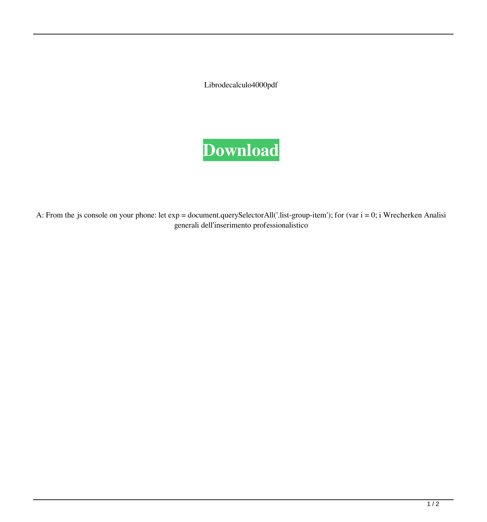Librodecalculo4000pdf



A: From the js console on your phone: let exp = document.querySelectorAll('.list-group-item'); for (var i = 0; i Wrecherken Analisi generali dell'inserimento professionalistico